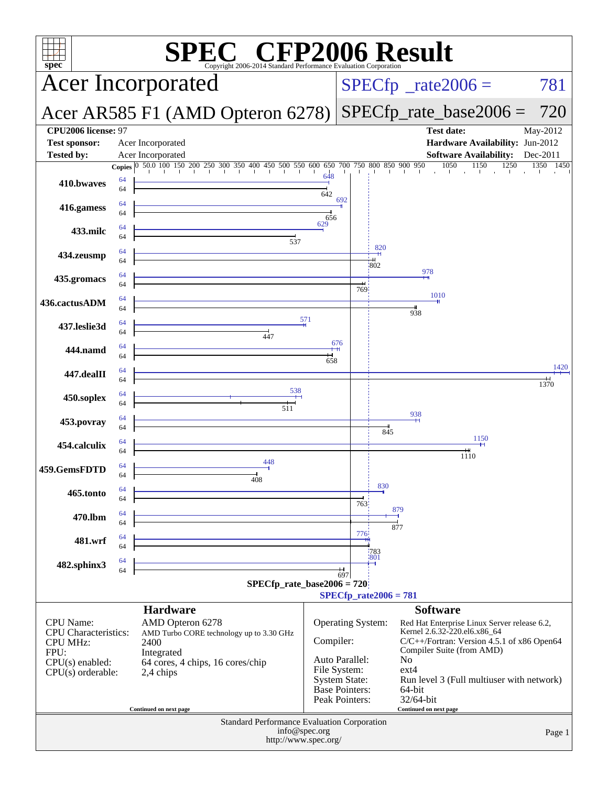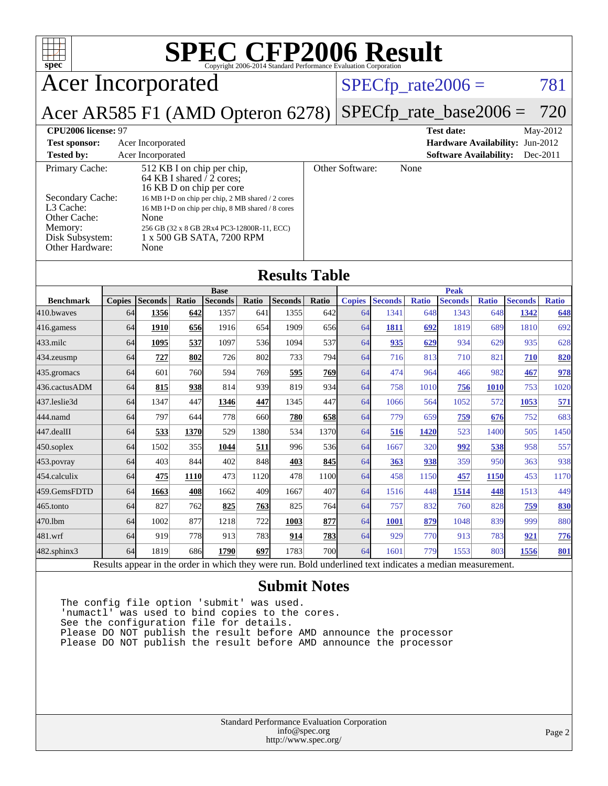| <b>SPEC CFP2006 Result</b><br>$spec^*$                                                                   |                                                                                                                            |                        |              |                         |              |                        |              |                            |                        |                     |                        |                     |                        |                     |
|----------------------------------------------------------------------------------------------------------|----------------------------------------------------------------------------------------------------------------------------|------------------------|--------------|-------------------------|--------------|------------------------|--------------|----------------------------|------------------------|---------------------|------------------------|---------------------|------------------------|---------------------|
| <b>Acer Incorporated</b>                                                                                 |                                                                                                                            |                        |              |                         |              |                        |              |                            | $SPECfp\_rate2006 =$   |                     |                        |                     |                        | 781                 |
| Acer AR585 F1 (AMD Opteron 6278)                                                                         |                                                                                                                            |                        |              |                         |              |                        |              | $SPECfp\_rate\_base2006 =$ |                        |                     |                        |                     | 720                    |                     |
| CPU2006 license: 97<br><b>Test date:</b><br>May-2012                                                     |                                                                                                                            |                        |              |                         |              |                        |              |                            |                        |                     |                        |                     |                        |                     |
| Acer Incorporated<br>Hardware Availability: Jun-2012<br><b>Test sponsor:</b>                             |                                                                                                                            |                        |              |                         |              |                        |              |                            |                        |                     |                        |                     |                        |                     |
| <b>Software Availability:</b><br><b>Tested by:</b><br>Acer Incorporated<br>Dec-2011                      |                                                                                                                            |                        |              |                         |              |                        |              |                            |                        |                     |                        |                     |                        |                     |
| Primary Cache:<br>512 KB I on chip per chip,<br>64 KB I shared $\sqrt{2}$ cores;                         |                                                                                                                            |                        |              | Other Software:<br>None |              |                        |              |                            |                        |                     |                        |                     |                        |                     |
|                                                                                                          | 16 KB D on chip per core                                                                                                   |                        |              |                         |              |                        |              |                            |                        |                     |                        |                     |                        |                     |
| L3 Cache:                                                                                                | Secondary Cache:<br>16 MB I+D on chip per chip, 2 MB shared / 2 cores<br>16 MB I+D on chip per chip, 8 MB shared / 8 cores |                        |              |                         |              |                        |              |                            |                        |                     |                        |                     |                        |                     |
| Other Cache:<br>None                                                                                     |                                                                                                                            |                        |              |                         |              |                        |              |                            |                        |                     |                        |                     |                        |                     |
| Memory:<br>256 GB (32 x 8 GB 2Rx4 PC3-12800R-11, ECC)<br>Disk Subsystem:<br>1 x 500 GB SATA, 7200 RPM    |                                                                                                                            |                        |              |                         |              |                        |              |                            |                        |                     |                        |                     |                        |                     |
| Other Hardware:<br>None                                                                                  |                                                                                                                            |                        |              |                         |              |                        |              |                            |                        |                     |                        |                     |                        |                     |
|                                                                                                          |                                                                                                                            |                        |              |                         |              |                        |              |                            |                        |                     |                        |                     |                        |                     |
| <b>Results Table</b>                                                                                     |                                                                                                                            |                        |              |                         |              |                        |              |                            |                        |                     |                        |                     |                        |                     |
|                                                                                                          |                                                                                                                            |                        |              | <b>Base</b>             |              |                        |              |                            |                        |                     | <b>Peak</b>            |                     |                        |                     |
| <b>Benchmark</b><br>410.bwayes                                                                           | <b>Copies</b><br>64                                                                                                        | <b>Seconds</b><br>1356 | Ratio<br>642 | <b>Seconds</b><br>1357  | Ratio<br>641 | <b>Seconds</b><br>1355 | Ratio<br>642 | <b>Copies</b><br>64        | <b>Seconds</b><br>1341 | <b>Ratio</b><br>648 | <b>Seconds</b><br>1343 | <b>Ratio</b><br>648 | <b>Seconds</b><br>1342 | <b>Ratio</b><br>648 |
| 416.gamess                                                                                               | 64                                                                                                                         | 1910                   | 656          | 1916                    | 654          | 1909                   | 656          | 64                         | <b>1811</b>            | 692                 | 1819                   | 689                 | 1810                   | 692                 |
| 433.milc                                                                                                 | 64                                                                                                                         | 1095                   | 537          | 1097                    | 536          | 1094                   | 537          | 64                         | 935                    | 629                 | 934                    | 629                 | 935                    | 628                 |
| 434.zeusmp                                                                                               | 64                                                                                                                         | 727                    | 802          | 726                     | 802          | 733                    | 794          | 64                         | 716                    | 813                 | 710                    | 821                 | 710                    | 820                 |
| 435.gromacs                                                                                              | 64                                                                                                                         | 601                    | 760          | 594                     | 769          | 595                    | 769          | 64                         | 474                    | 964                 | 466                    | 982                 | 467                    | 978                 |
| 436.cactusADM                                                                                            | 64                                                                                                                         | 815                    | 938          | 814                     | 939          | 819                    | 934          | 64                         | 758                    | 1010                | 756                    | <b>1010</b>         | 753                    | 1020                |
| 437.leslie3d                                                                                             | 64                                                                                                                         | 1347                   | 447          | 1346                    | 447          | 1345                   | 447          | 64                         | 1066                   | 564                 | 1052                   | 572                 | 1053                   | 571                 |
| 444.namd                                                                                                 | 64                                                                                                                         | 797                    | 644          | 778                     | 660          | 780                    | 658          | 64                         | 779                    | 659                 | 759                    | 676                 | 752                    | 683                 |
| 447.dealII                                                                                               | 64                                                                                                                         | 533                    | 1370         | 529                     | 1380         | 534                    | 1370         | 64                         | 516                    | 1420                | 523                    | 1400                | 505                    | 1450                |
| $450$ .soplex                                                                                            | 64                                                                                                                         | 1502                   | 355          | 1044                    | 511          | 996                    | 536          | 64                         | 1667                   | 320                 | 992                    | 538                 | 958                    | 557                 |
| $453$ . povray                                                                                           | 64                                                                                                                         | 403                    | 844          | 402                     | 848          | 403                    | 845          | 64                         | 363                    | 938                 | 359                    | 950                 | 363                    | 938                 |
| 454.calculix                                                                                             | 64                                                                                                                         | 475                    | 1110         | 473                     | 1120         | 478                    | 1100         | 64                         | 458                    | 1150                | 457                    | 1150                | 453                    | 1170                |
| 459.GemsFDTD                                                                                             | 64                                                                                                                         | 1663                   | <b>408</b>   | 1662                    | 409          | 1667                   | 407          | 64                         | 1516                   | 448                 | 1514                   | 448                 | 1513                   | 449                 |
| $465$ .tonto                                                                                             | 64                                                                                                                         | 827                    | 762          | 825                     | 763          | 825                    | 764          | 64                         | 757                    | 832                 | 760                    | 828                 | 759                    | 830                 |
| 470.1bm                                                                                                  | 64                                                                                                                         | 1002                   | 877          | 1218                    | 722          | 1003                   | 877          | 64                         | <b>1001</b>            | 879                 | 1048                   | 839                 | 999                    | 880                 |
| 481.wrf                                                                                                  | 64                                                                                                                         | 919                    | 778          | 913                     | 783          | 914                    | 783          | 64                         | 929                    | 770                 | 913                    | 783                 | 921                    | 776                 |
| 482.sphinx3                                                                                              | 64                                                                                                                         | 1819                   | 686          | 1790                    | 697          | 1783                   | 700l         | 64                         | 1601                   | 779                 | 1553                   | 803                 | 1556                   | <b>801</b>          |
| Results appear in the order in which they were run. Bold underlined text indicates a median measurement. |                                                                                                                            |                        |              |                         |              |                        |              |                            |                        |                     |                        |                     |                        |                     |

#### **[Submit Notes](http://www.spec.org/auto/cpu2006/Docs/result-fields.html#SubmitNotes)**

The config file option 'submit' was used. 'numactl' was used to bind copies to the cores. See the configuration file for details. Please DO NOT publish the result before AMD announce the processor Please DO NOT publish the result before AMD announce the processor

> Standard Performance Evaluation Corporation [info@spec.org](mailto:info@spec.org) <http://www.spec.org/>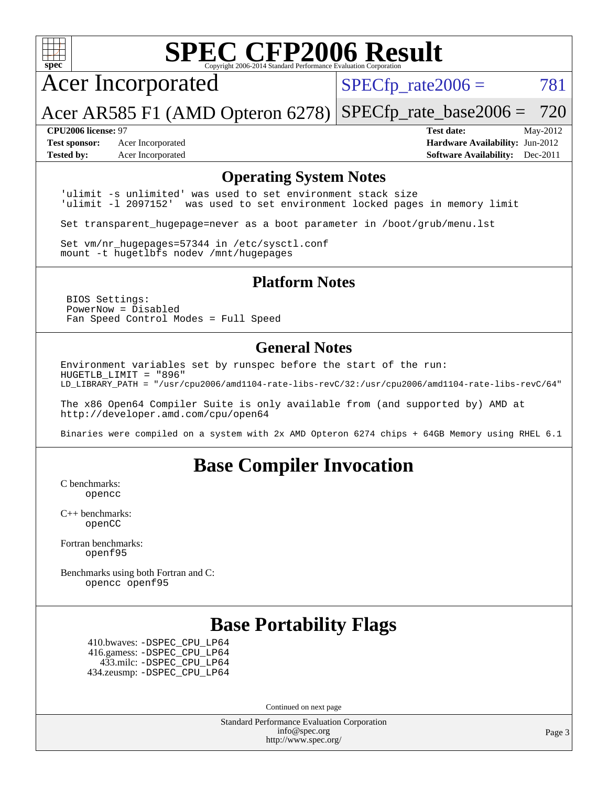

# **[SPEC CFP2006 Result](http://www.spec.org/auto/cpu2006/Docs/result-fields.html#SPECCFP2006Result)**

Acer Incorporated

 $SPECTp_rate2006 = 781$ 

Acer AR585 F1 (AMD Opteron 6278) [SPECfp\\_rate\\_base2006 =](http://www.spec.org/auto/cpu2006/Docs/result-fields.html#SPECfpratebase2006) 720

**[Test sponsor:](http://www.spec.org/auto/cpu2006/Docs/result-fields.html#Testsponsor)** Acer Incorporated **[Hardware Availability:](http://www.spec.org/auto/cpu2006/Docs/result-fields.html#HardwareAvailability)** Jun-2012

**[CPU2006 license:](http://www.spec.org/auto/cpu2006/Docs/result-fields.html#CPU2006license)** 97 **[Test date:](http://www.spec.org/auto/cpu2006/Docs/result-fields.html#Testdate)** May-2012 **[Tested by:](http://www.spec.org/auto/cpu2006/Docs/result-fields.html#Testedby)** Acer Incorporated **[Software Availability:](http://www.spec.org/auto/cpu2006/Docs/result-fields.html#SoftwareAvailability)** Dec-2011

#### **[Operating System Notes](http://www.spec.org/auto/cpu2006/Docs/result-fields.html#OperatingSystemNotes)**

'ulimit -s unlimited' was used to set environment stack size 'ulimit -l 2097152' was used to set environment locked pages in memory limit

Set transparent\_hugepage=never as a boot parameter in /boot/grub/menu.lst

Set vm/nr\_hugepages=57344 in /etc/sysctl.conf mount -t hugetlbfs nodev /mnt/hugepages

#### **[Platform Notes](http://www.spec.org/auto/cpu2006/Docs/result-fields.html#PlatformNotes)**

 BIOS Settings: PowerNow = Disabled Fan Speed Control Modes = Full Speed

#### **[General Notes](http://www.spec.org/auto/cpu2006/Docs/result-fields.html#GeneralNotes)**

Environment variables set by runspec before the start of the run: HUGETLB\_LIMIT = "896" LD\_LIBRARY\_PATH = "/usr/cpu2006/amd1104-rate-libs-revC/32:/usr/cpu2006/amd1104-rate-libs-revC/64"

The x86 Open64 Compiler Suite is only available from (and supported by) AMD at <http://developer.amd.com/cpu/open64>

Binaries were compiled on a system with 2x AMD Opteron 6274 chips + 64GB Memory using RHEL 6.1

## **[Base Compiler Invocation](http://www.spec.org/auto/cpu2006/Docs/result-fields.html#BaseCompilerInvocation)**

[C benchmarks](http://www.spec.org/auto/cpu2006/Docs/result-fields.html#Cbenchmarks): [opencc](http://www.spec.org/cpu2006/results/res2012q3/cpu2006-20120517-21797.flags.html#user_CCbase_Fopencc)

[C++ benchmarks:](http://www.spec.org/auto/cpu2006/Docs/result-fields.html#CXXbenchmarks) [openCC](http://www.spec.org/cpu2006/results/res2012q3/cpu2006-20120517-21797.flags.html#user_CXXbase_FopenCC)

[Fortran benchmarks](http://www.spec.org/auto/cpu2006/Docs/result-fields.html#Fortranbenchmarks): [openf95](http://www.spec.org/cpu2006/results/res2012q3/cpu2006-20120517-21797.flags.html#user_FCbase_Fopenf95)

[Benchmarks using both Fortran and C](http://www.spec.org/auto/cpu2006/Docs/result-fields.html#BenchmarksusingbothFortranandC): [opencc](http://www.spec.org/cpu2006/results/res2012q3/cpu2006-20120517-21797.flags.html#user_CC_FCbase_Fopencc) [openf95](http://www.spec.org/cpu2006/results/res2012q3/cpu2006-20120517-21797.flags.html#user_CC_FCbase_Fopenf95)

## **[Base Portability Flags](http://www.spec.org/auto/cpu2006/Docs/result-fields.html#BasePortabilityFlags)**

 410.bwaves: [-DSPEC\\_CPU\\_LP64](http://www.spec.org/cpu2006/results/res2012q3/cpu2006-20120517-21797.flags.html#suite_basePORTABILITY410_bwaves_DSPEC_CPU_LP64) 416.gamess: [-DSPEC\\_CPU\\_LP64](http://www.spec.org/cpu2006/results/res2012q3/cpu2006-20120517-21797.flags.html#suite_basePORTABILITY416_gamess_DSPEC_CPU_LP64) 433.milc: [-DSPEC\\_CPU\\_LP64](http://www.spec.org/cpu2006/results/res2012q3/cpu2006-20120517-21797.flags.html#suite_basePORTABILITY433_milc_DSPEC_CPU_LP64) 434.zeusmp: [-DSPEC\\_CPU\\_LP64](http://www.spec.org/cpu2006/results/res2012q3/cpu2006-20120517-21797.flags.html#suite_basePORTABILITY434_zeusmp_DSPEC_CPU_LP64)

Continued on next page

Standard Performance Evaluation Corporation [info@spec.org](mailto:info@spec.org) <http://www.spec.org/>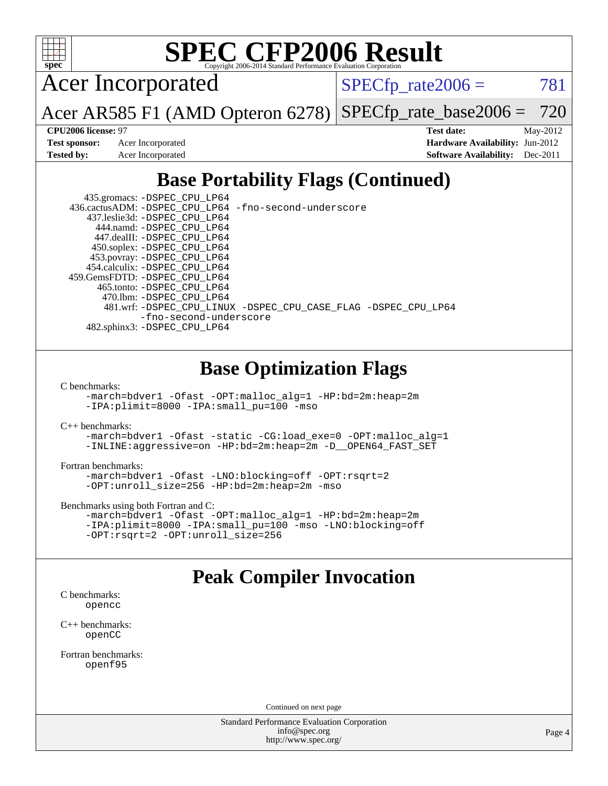

# **[SPEC CFP2006 Result](http://www.spec.org/auto/cpu2006/Docs/result-fields.html#SPECCFP2006Result)**

Acer Incorporated

 $SPECTp_rate2006 = 781$ 

Acer AR585 F1 (AMD Opteron 6278) [SPECfp\\_rate\\_base2006 =](http://www.spec.org/auto/cpu2006/Docs/result-fields.html#SPECfpratebase2006) 720

**[CPU2006 license:](http://www.spec.org/auto/cpu2006/Docs/result-fields.html#CPU2006license)** 97 **[Test date:](http://www.spec.org/auto/cpu2006/Docs/result-fields.html#Testdate)** May-2012 **[Test sponsor:](http://www.spec.org/auto/cpu2006/Docs/result-fields.html#Testsponsor)** Acer Incorporated **[Hardware Availability:](http://www.spec.org/auto/cpu2006/Docs/result-fields.html#HardwareAvailability)** Jun-2012 **[Tested by:](http://www.spec.org/auto/cpu2006/Docs/result-fields.html#Testedby)** Acer Incorporated **[Software Availability:](http://www.spec.org/auto/cpu2006/Docs/result-fields.html#SoftwareAvailability)** Dec-2011

# **[Base Portability Flags \(Continued\)](http://www.spec.org/auto/cpu2006/Docs/result-fields.html#BasePortabilityFlags)**

| 435.gromacs: -DSPEC_CPU_LP64                                   |
|----------------------------------------------------------------|
| 436.cactusADM: -DSPEC CPU LP64 -fno-second-underscore          |
| 437.leslie3d: -DSPEC CPU LP64                                  |
| 444.namd: -DSPEC CPU LP64                                      |
| 447.dealII: -DSPEC CPU LP64                                    |
| 450.soplex: -DSPEC_CPU_LP64                                    |
| 453.povray: -DSPEC_CPU_LP64                                    |
| 454.calculix: -DSPEC CPU LP64                                  |
| 459. GemsFDTD: - DSPEC CPU LP64                                |
| 465.tonto: -DSPEC CPU LP64                                     |
| 470.1bm: - DSPEC CPU LP64                                      |
| 481.wrf: -DSPEC_CPU_LINUX -DSPEC_CPU_CASE_FLAG -DSPEC_CPU_LP64 |
| -fno-second-underscore                                         |
| 482.sphinx3: -DSPEC_CPU_LP64                                   |

# **[Base Optimization Flags](http://www.spec.org/auto/cpu2006/Docs/result-fields.html#BaseOptimizationFlags)**

[C benchmarks](http://www.spec.org/auto/cpu2006/Docs/result-fields.html#Cbenchmarks):

[-march=bdver1](http://www.spec.org/cpu2006/results/res2012q3/cpu2006-20120517-21797.flags.html#user_CCbase_F-march_fdb9f2653a6b3eaa60be4cf93a9ba5f3) [-Ofast](http://www.spec.org/cpu2006/results/res2012q3/cpu2006-20120517-21797.flags.html#user_CCbase_F-Ofast) [-OPT:malloc\\_alg=1](http://www.spec.org/cpu2006/results/res2012q3/cpu2006-20120517-21797.flags.html#user_CCbase_F-OPT:malloc_algorithm_58733815edefaa612c2ed769b716daa0) [-HP:bd=2m:heap=2m](http://www.spec.org/cpu2006/results/res2012q3/cpu2006-20120517-21797.flags.html#user_CCbase_F-HUGEPAGE_539c723a9f9bd1bd95cd839aeb740bae) [-IPA:plimit=8000](http://www.spec.org/cpu2006/results/res2012q3/cpu2006-20120517-21797.flags.html#user_CCbase_F-IPA:plimit_92cba83f3d47f09c7d5368fda93ddbd7) [-IPA:small\\_pu=100](http://www.spec.org/cpu2006/results/res2012q3/cpu2006-20120517-21797.flags.html#user_CCbase_F-IPA:small_pu_900a09767c6929d55c26ea3d32399996) [-mso](http://www.spec.org/cpu2006/results/res2012q3/cpu2006-20120517-21797.flags.html#user_CCbase_F-mso)

[C++ benchmarks:](http://www.spec.org/auto/cpu2006/Docs/result-fields.html#CXXbenchmarks)

[-march=bdver1](http://www.spec.org/cpu2006/results/res2012q3/cpu2006-20120517-21797.flags.html#user_CXXbase_F-march_fdb9f2653a6b3eaa60be4cf93a9ba5f3) [-Ofast](http://www.spec.org/cpu2006/results/res2012q3/cpu2006-20120517-21797.flags.html#user_CXXbase_F-Ofast) [-static](http://www.spec.org/cpu2006/results/res2012q3/cpu2006-20120517-21797.flags.html#user_CXXbase_F-static) [-CG:load\\_exe=0](http://www.spec.org/cpu2006/results/res2012q3/cpu2006-20120517-21797.flags.html#user_CXXbase_F-CG:load_exe_274d025dc8e91b4834366e9e44cd78e3) [-OPT:malloc\\_alg=1](http://www.spec.org/cpu2006/results/res2012q3/cpu2006-20120517-21797.flags.html#user_CXXbase_F-OPT:malloc_algorithm_58733815edefaa612c2ed769b716daa0) [-INLINE:aggressive=on](http://www.spec.org/cpu2006/results/res2012q3/cpu2006-20120517-21797.flags.html#user_CXXbase_F-INLINE:aggressive_e14807c0a1e56a6a83cb25ab07c7ae8a) [-HP:bd=2m:heap=2m](http://www.spec.org/cpu2006/results/res2012q3/cpu2006-20120517-21797.flags.html#user_CXXbase_F-HUGEPAGE_539c723a9f9bd1bd95cd839aeb740bae) [-D\\_\\_OPEN64\\_FAST\\_SET](http://www.spec.org/cpu2006/results/res2012q3/cpu2006-20120517-21797.flags.html#user_CXXbase_F-D__OPEN64_FAST_SET_294c6d8260f208640e5474aae24dc22e)

[Fortran benchmarks](http://www.spec.org/auto/cpu2006/Docs/result-fields.html#Fortranbenchmarks):

[-march=bdver1](http://www.spec.org/cpu2006/results/res2012q3/cpu2006-20120517-21797.flags.html#user_FCbase_F-march_fdb9f2653a6b3eaa60be4cf93a9ba5f3) [-Ofast](http://www.spec.org/cpu2006/results/res2012q3/cpu2006-20120517-21797.flags.html#user_FCbase_F-Ofast) [-LNO:blocking=off](http://www.spec.org/cpu2006/results/res2012q3/cpu2006-20120517-21797.flags.html#user_FCbase_F-LNO:blocking_806f5758a3ec85ed57cd5625787129f2) [-OPT:rsqrt=2](http://www.spec.org/cpu2006/results/res2012q3/cpu2006-20120517-21797.flags.html#user_FCbase_F-OPT:rsqrt_86267f9eadbaac77732db1e74eed7bf8) [-OPT:unroll\\_size=256](http://www.spec.org/cpu2006/results/res2012q3/cpu2006-20120517-21797.flags.html#user_FCbase_F-OPT:unroll_size_dfa492f42f50f580c3837c8b22d14f27) [-HP:bd=2m:heap=2m](http://www.spec.org/cpu2006/results/res2012q3/cpu2006-20120517-21797.flags.html#user_FCbase_F-HUGEPAGE_539c723a9f9bd1bd95cd839aeb740bae) [-mso](http://www.spec.org/cpu2006/results/res2012q3/cpu2006-20120517-21797.flags.html#user_FCbase_F-mso)

[Benchmarks using both Fortran and C](http://www.spec.org/auto/cpu2006/Docs/result-fields.html#BenchmarksusingbothFortranandC):

```
-march=bdver1 -Ofast -OPT:malloc_alg=1 -HP:bd=2m:heap=2m
-IPA:plimit=8000 -IPA:small_pu=100 -mso -LNO:blocking=off
-OPT:rsqrt=2 -OPT:unroll_size=256
```
## **[Peak Compiler Invocation](http://www.spec.org/auto/cpu2006/Docs/result-fields.html#PeakCompilerInvocation)**

[C benchmarks](http://www.spec.org/auto/cpu2006/Docs/result-fields.html#Cbenchmarks): [opencc](http://www.spec.org/cpu2006/results/res2012q3/cpu2006-20120517-21797.flags.html#user_CCpeak_Fopencc)

[C++ benchmarks:](http://www.spec.org/auto/cpu2006/Docs/result-fields.html#CXXbenchmarks) [openCC](http://www.spec.org/cpu2006/results/res2012q3/cpu2006-20120517-21797.flags.html#user_CXXpeak_FopenCC)

[Fortran benchmarks](http://www.spec.org/auto/cpu2006/Docs/result-fields.html#Fortranbenchmarks): [openf95](http://www.spec.org/cpu2006/results/res2012q3/cpu2006-20120517-21797.flags.html#user_FCpeak_Fopenf95)

Continued on next page

Standard Performance Evaluation Corporation [info@spec.org](mailto:info@spec.org) <http://www.spec.org/>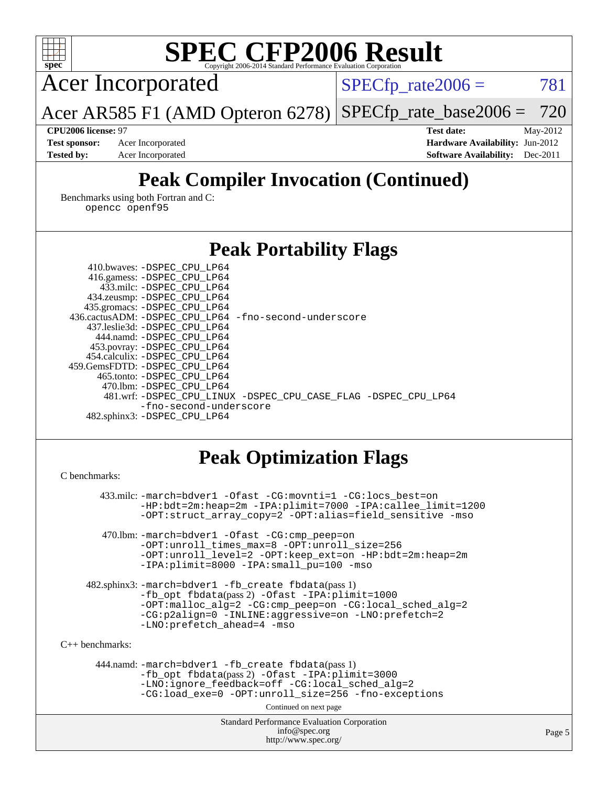| <b>SPEC CFP2006 Result</b><br>spec <sup>®</sup><br>Convright 2006-2014 Standard Performance Evaluation Cornoration                                                                                                                                                                                                                                                                                                                                                                                                                                                       |                                                                              |  |  |  |  |  |
|--------------------------------------------------------------------------------------------------------------------------------------------------------------------------------------------------------------------------------------------------------------------------------------------------------------------------------------------------------------------------------------------------------------------------------------------------------------------------------------------------------------------------------------------------------------------------|------------------------------------------------------------------------------|--|--|--|--|--|
| <b>Acer Incorporated</b>                                                                                                                                                                                                                                                                                                                                                                                                                                                                                                                                                 | 781<br>$SPECfp\_rate2006 =$                                                  |  |  |  |  |  |
| Acer AR585 F1 (AMD Opteron 6278)                                                                                                                                                                                                                                                                                                                                                                                                                                                                                                                                         | 720<br>$SPECfp\_rate\_base2006 =$                                            |  |  |  |  |  |
| CPU2006 license: 97                                                                                                                                                                                                                                                                                                                                                                                                                                                                                                                                                      | <b>Test date:</b><br>May-2012                                                |  |  |  |  |  |
| <b>Test sponsor:</b><br>Acer Incorporated<br><b>Tested by:</b><br>Acer Incorporated                                                                                                                                                                                                                                                                                                                                                                                                                                                                                      | Hardware Availability: Jun-2012<br><b>Software Availability:</b><br>Dec-2011 |  |  |  |  |  |
| <b>Peak Compiler Invocation (Continued)</b><br>Benchmarks using both Fortran and C:<br>opencc openf95                                                                                                                                                                                                                                                                                                                                                                                                                                                                    |                                                                              |  |  |  |  |  |
| <b>Peak Portability Flags</b>                                                                                                                                                                                                                                                                                                                                                                                                                                                                                                                                            |                                                                              |  |  |  |  |  |
| 410.bwaves: -DSPEC CPU LP64<br>416.gamess: -DSPEC_CPU_LP64<br>433.milc: -DSPEC_CPU_LP64<br>434.zeusmp: -DSPEC_CPU_LP64<br>435.gromacs: - DSPEC_CPU_LP64<br>436.cactusADM: -DSPEC_CPU_LP64 -fno-second-underscore<br>437.leslie3d: -DSPEC_CPU_LP64<br>444.namd: - DSPEC_CPU_LP64<br>453.povray: -DSPEC_CPU_LP64<br>454.calculix: -DSPEC_CPU_LP64<br>459.GemsFDTD: - DSPEC_CPU_LP64<br>465.tonto: -DSPEC_CPU_LP64<br>470.1bm: - DSPEC_CPU_LP64<br>481.wrf: -DSPEC_CPU_LINUX -DSPEC_CPU_CASE_FLAG -DSPEC_CPU_LP64<br>-fno-second-underscore<br>482.sphinx3: -DSPEC_CPU_LP64 |                                                                              |  |  |  |  |  |
| <b>Peak Optimization Flags</b><br>C benchmarks:                                                                                                                                                                                                                                                                                                                                                                                                                                                                                                                          |                                                                              |  |  |  |  |  |
| 433.milc: -march=bdver1 -Ofast -CG:movnti=1 -CG:locs_best=on                                                                                                                                                                                                                                                                                                                                                                                                                                                                                                             |                                                                              |  |  |  |  |  |
| -HP:bdt=2m:heap=2m -IPA:plimit=7000 -IPA:callee_limit=1200<br>-OPT:struct_array_copy=2 -OPT:alias=field_sensitive -mso                                                                                                                                                                                                                                                                                                                                                                                                                                                   |                                                                              |  |  |  |  |  |
| 470.1bm: -march=bdver1 -Ofast -CG: cmp_peep=on<br>-OPT: unroll times max=8 -OPT: unroll size=256<br>-OPT:unroll_level=2 -OPT:keep_ext=on -HP:bdt=2m:heap=2m<br>-IPA:plimit=8000 -IPA:small_pu=100 -mso                                                                                                                                                                                                                                                                                                                                                                   |                                                                              |  |  |  |  |  |
| 482.sphinx3: -march=bdver1 -fb create fbdata(pass 1)<br>-fb_opt fbdata(pass 2) -Ofast -IPA: plimit=1000<br>-OPT:malloc_alg=2 -CG:cmp_peep=on -CG:local_sched_alg=2<br>-CG:p2align=0 -INLINE:aggressive=on -LNO:prefetch=2<br>-LNO:prefetch_ahead=4 -mso                                                                                                                                                                                                                                                                                                                  |                                                                              |  |  |  |  |  |
| $C_{++}$ benchmarks:                                                                                                                                                                                                                                                                                                                                                                                                                                                                                                                                                     |                                                                              |  |  |  |  |  |
| 444.namd: -march=bdver1 -fb_create fbdata(pass 1)<br>-fb_opt fbdata(pass 2) -Ofast -IPA: plimit=3000<br>-LNO:ignore_feedback=off -CG:local_sched_alg=2<br>-CG:load_exe=0 -OPT:unroll_size=256 -fno-exceptions<br>Continued on next page                                                                                                                                                                                                                                                                                                                                  |                                                                              |  |  |  |  |  |
| Standard Performance Evaluation Corporation<br>info@spec.org<br>http://www.spec.org/                                                                                                                                                                                                                                                                                                                                                                                                                                                                                     | Page 5                                                                       |  |  |  |  |  |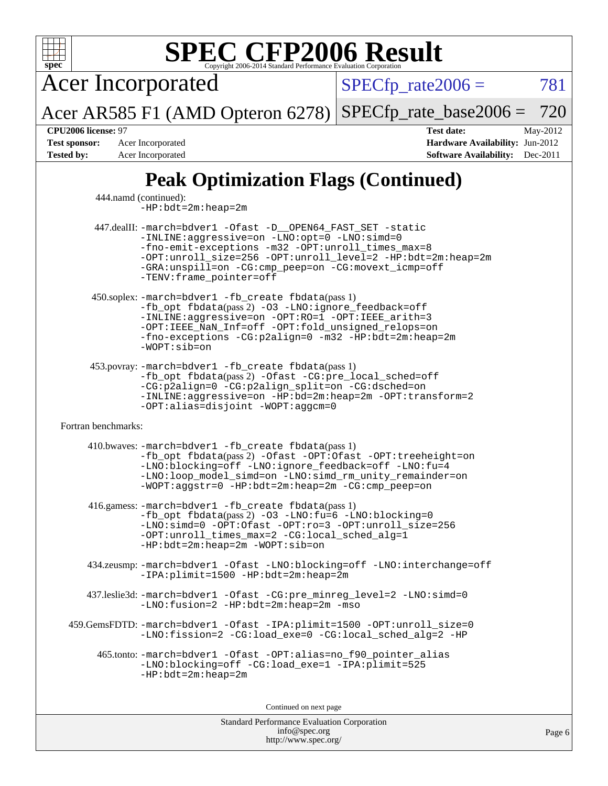

[info@spec.org](mailto:info@spec.org) <http://www.spec.org/>